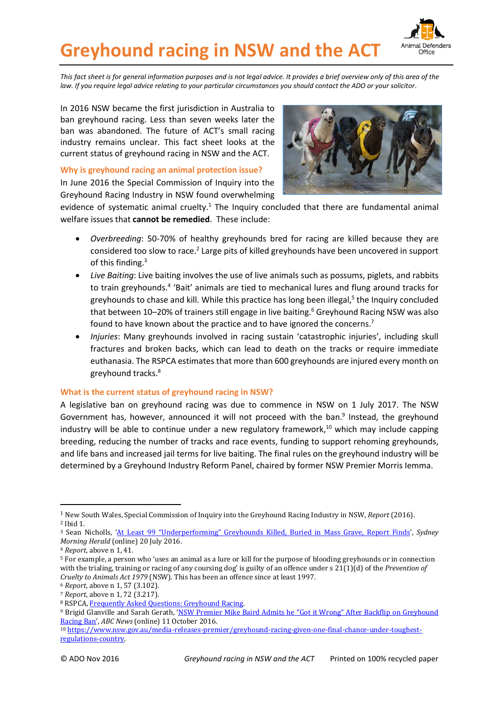

# **Greyhound racing in NSW and the ACT**

*This fact sheet is for general information purposes and is not legal advice. It provides a brief overview only of this area of the law. If you require legal advice relating to your particular circumstances you should contact the ADO or your solicitor.*

In 2016 NSW became the first jurisdiction in Australia to ban greyhound racing. Less than seven weeks later the ban was abandoned. The future of ACT's small racing industry remains unclear. This fact sheet looks at the current status of greyhound racing in NSW and the ACT.

#### **Why is greyhound racing an animal protection issue?**

In June 2016 the Special Commission of Inquiry into the Greyhound Racing Industry in NSW found overwhelming



evidence of systematic animal cruelty.<sup>1</sup> The Inquiry concluded that there are fundamental animal welfare issues that **cannot be remedied**. These include:

- *Overbreeding*: 50-70% of healthy greyhounds bred for racing are killed because they are considered too slow to race.<sup>2</sup> Large pits of killed greyhounds have been uncovered in support of this finding. 3
- *Live Baiting*: Live baiting involves the use of live animals such as possums, piglets, and rabbits to train greyhounds.<sup>4</sup> 'Bait' animals are tied to mechanical lures and flung around tracks for greyhounds to chase and kill. While this practice has long been illegal, 5 the Inquiry concluded that between 10–20% of trainers still engage in live baiting.<sup>6</sup> Greyhound Racing NSW was also found to have known about the practice and to have ignored the concerns.<sup>7</sup>
- *Injuries*: Many greyhounds involved in racing sustain 'catastrophic injuries', including skull fractures and broken backs, which can lead to death on the tracks or require immediate euthanasia. The RSPCA estimates that more than 600 greyhounds are injured every month on greyhound tracks.<sup>8</sup>

### **What is the current status of greyhound racing in NSW?**

A legislative ban on greyhound racing was due to commence in NSW on 1 July 2017. The NSW Government has, however, announced it will not proceed with the ban.<sup>9</sup> Instead, the greyhound industry will be able to continue under a new regulatory framework, <sup>10</sup> which may include capping breeding, reducing the number of tracks and race events, funding to support rehoming greyhounds, and life bans and increased jail terms for live baiting. The final rules on the greyhound industry will be determined by a Greyhound Industry Reform Panel, chaired by former NSW Premier Morris Iemma.

<u>.</u>

<sup>1</sup> New South Wales, Special Commission of Inquiry into the Greyhound Racing Industry in NSW, *Report* (2016). <sup>2</sup> Ibid 1.

<sup>3</sup> Sean Nicholls, ['At Least 99 "Underperforming" Greyhounds Killed, Buried in Mass Grave, Report Finds',](http://www.smh.com.au/nsw/at-least-99-underperforming-greyhounds-killed-buried-in-mass-grave-report-finds-20160719-gq92rs.html) *Sydney Morning Herald* (online) 20 July 2016.

<sup>4</sup> *Report*, above n 1, 41.

<sup>5</sup> For example, a person who 'uses an animal as a lure or kill for the purpose of blooding greyhounds or in connection with the trialing, training or racing of any coursing dog' is guilty of an offence under s 21(1)(d) of the *Prevention of Cruelty to Animals Act 1979* (NSW). This has been an offence since at least 1997.

<sup>6</sup> *Report*, above n 1, 57 (3.102).

<sup>7</sup> *Report*, above n 1, 72 (3.217).

<sup>8</sup> RSPCA[, Frequently Asked Questions: Greyhound Racing.](https://www.rspca.org.au/sites/default/files/website/Campaigns/greyhound-racing/RSPCA_Australia-FAQs-Greyhound_Racing_and_Live_Baiting.pdf)

<sup>&</sup>lt;sup>9</sup> Brigid Glanville and Sarah Gerath, 'NSW Premier Mike Baird Admits he "Got it Wrong" After Backflip on Greyhound [Racing Ban](http://www.abc.net.au/news/2016-10-11/greyhound-ban-baird-government-confirms-backflip/7921000)', *ABC News* (online) 11 October 2016.

<sup>10</sup> [https://www.nsw.gov.au/media-releases-premier/greyhound-racing-given-one-final-chance-under-toughest](https://www.nsw.gov.au/media-releases-premier/greyhound-racing-given-one-final-chance-under-toughest-regulations-country)[regulations-country.](https://www.nsw.gov.au/media-releases-premier/greyhound-racing-given-one-final-chance-under-toughest-regulations-country)